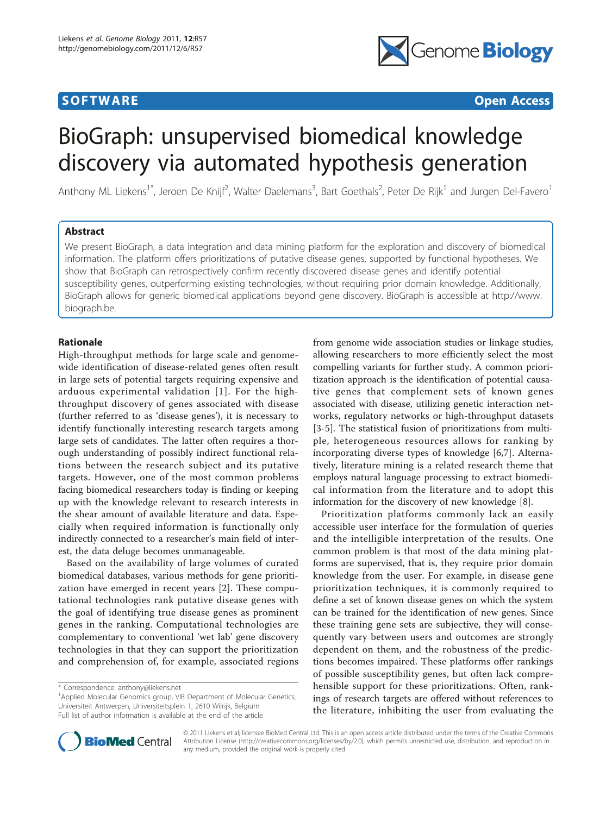## **SOFTWARE SOFTWARE** *CONSERVERS EXECUTES*



# BioGraph: unsupervised biomedical knowledge discovery via automated hypothesis generation

Anthony ML Liekens<sup>1\*</sup>, Jeroen De Knijf<sup>2</sup>, Walter Daelemans<sup>3</sup>, Bart Goethals<sup>2</sup>, Peter De Rijk<sup>1</sup> and Jurgen Del-Favero<sup>1</sup>

## Abstract

We present BioGraph, a data integration and data mining platform for the exploration and discovery of biomedical information. The platform offers prioritizations of putative disease genes, supported by functional hypotheses. We show that BioGraph can retrospectively confirm recently discovered disease genes and identify potential susceptibility genes, outperforming existing technologies, without requiring prior domain knowledge. Additionally, BioGraph allows for generic biomedical applications beyond gene discovery. BioGraph is accessible at [http://www.](http://www.biograph.be) [biograph.be](http://www.biograph.be).

## Rationale

High-throughput methods for large scale and genomewide identification of disease-related genes often result in large sets of potential targets requiring expensive and arduous experimental validation [[1](#page-10-0)]. For the highthroughput discovery of genes associated with disease (further referred to as 'disease genes'), it is necessary to identify functionally interesting research targets among large sets of candidates. The latter often requires a thorough understanding of possibly indirect functional relations between the research subject and its putative targets. However, one of the most common problems facing biomedical researchers today is finding or keeping up with the knowledge relevant to research interests in the shear amount of available literature and data. Especially when required information is functionally only indirectly connected to a researcher's main field of interest, the data deluge becomes unmanageable.

Based on the availability of large volumes of curated biomedical databases, various methods for gene prioritization have emerged in recent years [[2](#page-10-0)]. These computational technologies rank putative disease genes with the goal of identifying true disease genes as prominent genes in the ranking. Computational technologies are complementary to conventional 'wet lab' gene discovery technologies in that they can support the prioritization and comprehension of, for example, associated regions from genome wide association studies or linkage studies, allowing researchers to more efficiently select the most compelling variants for further study. A common prioritization approach is the identification of potential causative genes that complement sets of known genes associated with disease, utilizing genetic interaction networks, regulatory networks or high-throughput datasets [[3-5](#page-10-0)]. The statistical fusion of prioritizations from multiple, heterogeneous resources allows for ranking by incorporating diverse types of knowledge [\[6,7](#page-10-0)]. Alternatively, literature mining is a related research theme that employs natural language processing to extract biomedical information from the literature and to adopt this information for the discovery of new knowledge [[8\]](#page-10-0).

Prioritization platforms commonly lack an easily accessible user interface for the formulation of queries and the intelligible interpretation of the results. One common problem is that most of the data mining platforms are supervised, that is, they require prior domain knowledge from the user. For example, in disease gene prioritization techniques, it is commonly required to define a set of known disease genes on which the system can be trained for the identification of new genes. Since these training gene sets are subjective, they will consequently vary between users and outcomes are strongly dependent on them, and the robustness of the predictions becomes impaired. These platforms offer rankings of possible susceptibility genes, but often lack comprehensible support for these prioritizations. Often, rankings of research targets are offered without references to the literature, inhibiting the user from evaluating the



© 2011 Liekens et al; licensee BioMed Central Ltd. This is an open access article distributed under the terms of the Creative Commons Attribution License [\(http://creativecommons.org/licenses/by/2.0](http://creativecommons.org/licenses/by/2.0)), which permits unrestricted use, distribution, and reproduction in any medium, provided the original work is properly cited

<sup>\*</sup> Correspondence: [anthony@liekens.net](mailto:anthony@liekens.net)

<sup>&</sup>lt;sup>1</sup>Applied Molecular Genomics group, VIB Department of Molecular Genetics, Universiteit Antwerpen, Universiteitsplein 1, 2610 Wilrijk, Belgium Full list of author information is available at the end of the article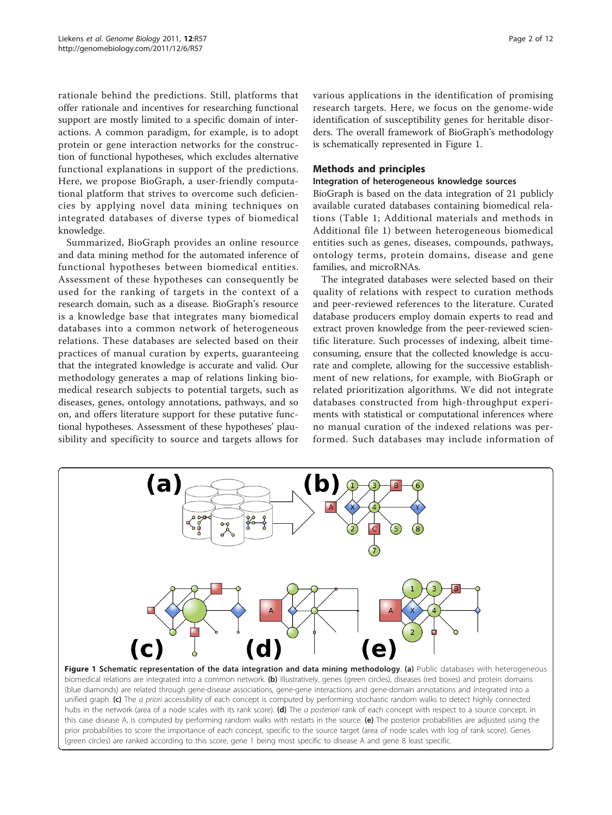rationale behind the predictions. Still, platforms that offer rationale and incentives for researching functional support are mostly limited to a specific domain of interactions. A common paradigm, for example, is to adopt protein or gene interaction networks for the construction of functional hypotheses, which excludes alternative functional explanations in support of the predictions. Here, we propose BioGraph, a user-friendly computational platform that strives to overcome such deficiencies by applying novel data mining techniques on integrated databases of diverse types of biomedical knowledge.

Summarized, BioGraph provides an online resource and data mining method for the automated inference of functional hypotheses between biomedical entities. Assessment of these hypotheses can consequently be used for the ranking of targets in the context of a research domain, such as a disease. BioGraph's resource is a knowledge base that integrates many biomedical databases into a common network of heterogeneous relations. These databases are selected based on their practices of manual curation by experts, guaranteeing that the integrated knowledge is accurate and valid. Our methodology generates a map of relations linking biomedical research subjects to potential targets, such as diseases, genes, ontology annotations, pathways, and so on, and offers literature support for these putative functional hypotheses. Assessment of these hypotheses' plausibility and specificity to source and targets allows for

various applications in the identification of promising research targets. Here, we focus on the genome-wide identification of susceptibility genes for heritable disorders. The overall framework of BioGraph's methodology is schematically represented in Figure 1.

## Methods and principles

## Integration of heterogeneous knowledge sources

BioGraph is based on the data integration of 21 publicly available curated databases containing biomedical relations (Table [1;](#page-2-0) Additional materials and methods in Additional file [1](#page-10-0)) between heterogeneous biomedical entities such as genes, diseases, compounds, pathways, ontology terms, protein domains, disease and gene families, and microRNAs.

The integrated databases were selected based on their quality of relations with respect to curation methods and peer-reviewed references to the literature. Curated database producers employ domain experts to read and extract proven knowledge from the peer-reviewed scientific literature. Such processes of indexing, albeit timeconsuming, ensure that the collected knowledge is accurate and complete, allowing for the successive establishment of new relations, for example, with BioGraph or related prioritization algorithms. We did not integrate databases constructed from high-throughput experiments with statistical or computational inferences where no manual curation of the indexed relations was performed. Such databases may include information of



Figure 1 Schematic representation of the data integration and data mining methodology. (a) Public databases with heterogeneous biomedical relations are integrated into a common network. (b) Illustratively, genes (green circles), diseases (red boxes) and protein domains (blue diamonds) are related through gene-disease associations, gene-gene interactions and gene-domain annotations and integrated into a unified graph. (c) The a priori accessibility of each concept is computed by performing stochastic random walks to detect highly connected hubs in the network (area of a node scales with its rank score). (d) The a posteriori rank of each concept with respect to a source concept, in this case disease A, is computed by performing random walks with restarts in the source. (e) The posterior probabilities are adjusted using the prior probabilities to score the importance of each concept, specific to the source target (area of node scales with log of rank score). Genes (green circles) are ranked according to this score, gene 1 being most specific to disease A and gene 8 least specific.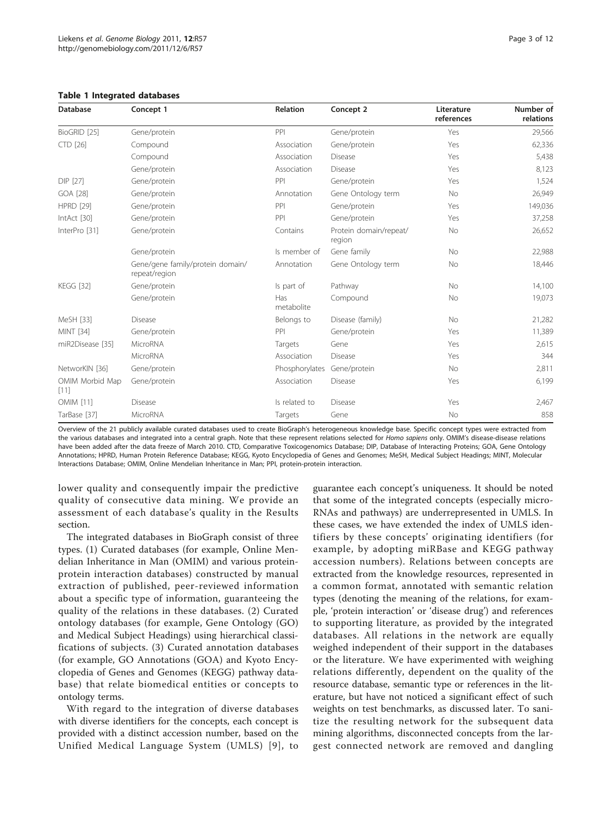#### <span id="page-2-0"></span>Table 1 Integrated databases

| <b>Database</b>           | Concept 1                                         | Relation          | Concept 2                        | Literature<br>references | Number of<br>relations |
|---------------------------|---------------------------------------------------|-------------------|----------------------------------|--------------------------|------------------------|
| BioGRID [25]              | Gene/protein                                      | PPI               | Gene/protein                     | Yes                      | 29,566                 |
| CTD [26]                  | Compound                                          | Association       | Gene/protein                     | Yes                      | 62,336                 |
|                           | Compound                                          | Association       | <b>Disease</b>                   | Yes                      | 5,438                  |
|                           | Gene/protein                                      | Association       | <b>Disease</b>                   | Yes                      | 8,123                  |
| DIP [27]                  | Gene/protein                                      | PPI               | Gene/protein                     | Yes                      | 1,524                  |
| GOA [28]                  | Gene/protein                                      | Annotation        | Gene Ontology term               | <b>No</b>                | 26,949                 |
| <b>HPRD [29]</b>          | Gene/protein                                      | PPI               | Gene/protein                     | Yes                      | 149,036                |
| IntAct [30]               | Gene/protein                                      | PPI               | Gene/protein                     | Yes                      | 37,258                 |
| InterPro [31]             | Gene/protein                                      | Contains          | Protein domain/repeat/<br>region | No                       | 26,652                 |
|                           | Gene/protein                                      | Is member of      | Gene family                      | <b>No</b>                | 22,988                 |
|                           | Gene/gene family/protein domain/<br>repeat/region | Annotation        | Gene Ontology term               | No                       | 18,446                 |
| <b>KEGG [32]</b>          | Gene/protein                                      | Is part of        | Pathway                          | <b>No</b>                | 14,100                 |
|                           | Gene/protein                                      | Has<br>metabolite | Compound                         | No                       | 19,073                 |
| MeSH [33]                 | Disease                                           | Belongs to        | Disease (family)                 | No                       | 21,282                 |
| <b>MINT [34]</b>          | Gene/protein                                      | PPI               | Gene/protein                     | Yes                      | 11,389                 |
| miR2Disease [35]          | MicroRNA                                          | Targets           | Gene                             | Yes                      | 2,615                  |
|                           | MicroRNA                                          | Association       | <b>Disease</b>                   | Yes                      | 344                    |
| NetworKIN [36]            | Gene/protein                                      | Phosphorylates    | Gene/protein                     | <b>No</b>                | 2,811                  |
| OMIM Morbid Map<br>$[11]$ | Gene/protein                                      | Association       | <b>Disease</b>                   | Yes                      | 6,199                  |
| <b>OMIM [11]</b>          | Disease                                           | Is related to     | Disease                          | Yes                      | 2,467                  |
| TarBase [37]              | MicroRNA                                          | Targets           | Gene                             | <b>No</b>                | 858                    |

Overview of the 21 publicly available curated databases used to create BioGraph's heterogeneous knowledge base. Specific concept types were extracted from the various databases and integrated into a central graph. Note that these represent relations selected for Homo sapiens only. OMIM's disease-disease relations have been added after the data freeze of March 2010. CTD, Comparative Toxicogenomics Database; DIP, Database of Interacting Proteins; GOA, Gene Ontology Annotations; HPRD, Human Protein Reference Database; KEGG, Kyoto Encyclopedia of Genes and Genomes; MeSH, Medical Subject Headings; MINT, Molecular Interactions Database; OMIM, Online Mendelian Inheritance in Man; PPI, protein-protein interaction.

lower quality and consequently impair the predictive quality of consecutive data mining. We provide an assessment of each database's quality in the Results section.

The integrated databases in BioGraph consist of three types. (1) Curated databases (for example, Online Mendelian Inheritance in Man (OMIM) and various proteinprotein interaction databases) constructed by manual extraction of published, peer-reviewed information about a specific type of information, guaranteeing the quality of the relations in these databases. (2) Curated ontology databases (for example, Gene Ontology (GO) and Medical Subject Headings) using hierarchical classifications of subjects. (3) Curated annotation databases (for example, GO Annotations (GOA) and Kyoto Encyclopedia of Genes and Genomes (KEGG) pathway database) that relate biomedical entities or concepts to ontology terms.

With regard to the integration of diverse databases with diverse identifiers for the concepts, each concept is provided with a distinct accession number, based on the Unified Medical Language System (UMLS) [[9](#page-10-0)], to

guarantee each concept's uniqueness. It should be noted that some of the integrated concepts (especially micro-RNAs and pathways) are underrepresented in UMLS. In these cases, we have extended the index of UMLS identifiers by these concepts' originating identifiers (for example, by adopting miRBase and KEGG pathway accession numbers). Relations between concepts are extracted from the knowledge resources, represented in a common format, annotated with semantic relation types (denoting the meaning of the relations, for example, 'protein interaction' or 'disease drug') and references to supporting literature, as provided by the integrated databases. All relations in the network are equally weighed independent of their support in the databases or the literature. We have experimented with weighing relations differently, dependent on the quality of the resource database, semantic type or references in the literature, but have not noticed a significant effect of such weights on test benchmarks, as discussed later. To sanitize the resulting network for the subsequent data mining algorithms, disconnected concepts from the largest connected network are removed and dangling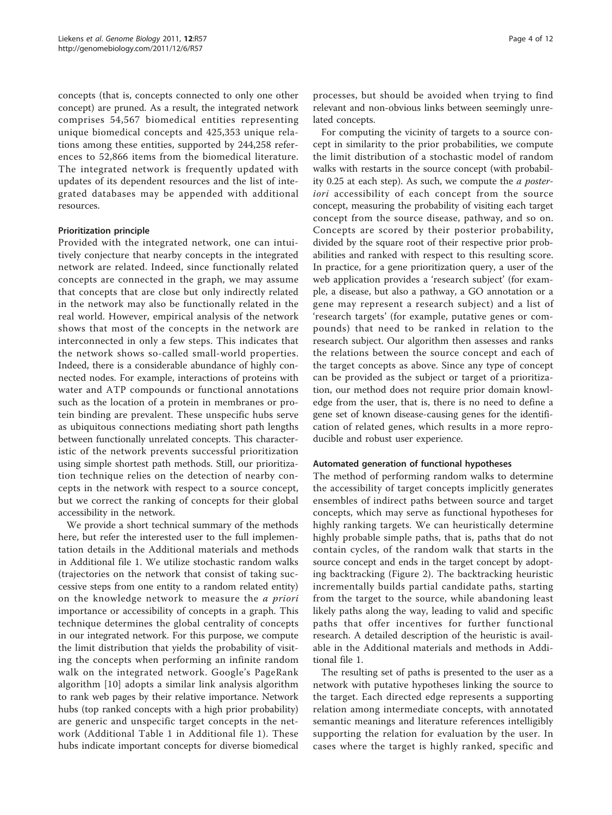concepts (that is, concepts connected to only one other concept) are pruned. As a result, the integrated network comprises 54,567 biomedical entities representing unique biomedical concepts and 425,353 unique relations among these entities, supported by 244,258 references to 52,866 items from the biomedical literature. The integrated network is frequently updated with updates of its dependent resources and the list of integrated databases may be appended with additional resources.

## Prioritization principle

Provided with the integrated network, one can intuitively conjecture that nearby concepts in the integrated network are related. Indeed, since functionally related concepts are connected in the graph, we may assume that concepts that are close but only indirectly related in the network may also be functionally related in the real world. However, empirical analysis of the network shows that most of the concepts in the network are interconnected in only a few steps. This indicates that the network shows so-called small-world properties. Indeed, there is a considerable abundance of highly connected nodes. For example, interactions of proteins with water and ATP compounds or functional annotations such as the location of a protein in membranes or protein binding are prevalent. These unspecific hubs serve as ubiquitous connections mediating short path lengths between functionally unrelated concepts. This characteristic of the network prevents successful prioritization using simple shortest path methods. Still, our prioritization technique relies on the detection of nearby concepts in the network with respect to a source concept, but we correct the ranking of concepts for their global accessibility in the network.

We provide a short technical summary of the methods here, but refer the interested user to the full implementation details in the Additional materials and methods in Additional file [1](#page-10-0). We utilize stochastic random walks (trajectories on the network that consist of taking successive steps from one entity to a random related entity) on the knowledge network to measure the a priori importance or accessibility of concepts in a graph. This technique determines the global centrality of concepts in our integrated network. For this purpose, we compute the limit distribution that yields the probability of visiting the concepts when performing an infinite random walk on the integrated network. Google's PageRank algorithm [[10\]](#page-10-0) adopts a similar link analysis algorithm to rank web pages by their relative importance. Network hubs (top ranked concepts with a high prior probability) are generic and unspecific target concepts in the network (Additional Table [1](#page-2-0) in Additional file [1\)](#page-10-0). These hubs indicate important concepts for diverse biomedical

processes, but should be avoided when trying to find relevant and non-obvious links between seemingly unrelated concepts.

For computing the vicinity of targets to a source concept in similarity to the prior probabilities, we compute the limit distribution of a stochastic model of random walks with restarts in the source concept (with probability 0.25 at each step). As such, we compute the a posteriori accessibility of each concept from the source concept, measuring the probability of visiting each target concept from the source disease, pathway, and so on. Concepts are scored by their posterior probability, divided by the square root of their respective prior probabilities and ranked with respect to this resulting score. In practice, for a gene prioritization query, a user of the web application provides a 'research subject' (for example, a disease, but also a pathway, a GO annotation or a gene may represent a research subject) and a list of 'research targets' (for example, putative genes or compounds) that need to be ranked in relation to the research subject. Our algorithm then assesses and ranks the relations between the source concept and each of the target concepts as above. Since any type of concept can be provided as the subject or target of a prioritization, our method does not require prior domain knowledge from the user, that is, there is no need to define a gene set of known disease-causing genes for the identification of related genes, which results in a more reproducible and robust user experience.

## Automated generation of functional hypotheses

The method of performing random walks to determine the accessibility of target concepts implicitly generates ensembles of indirect paths between source and target concepts, which may serve as functional hypotheses for highly ranking targets. We can heuristically determine highly probable simple paths, that is, paths that do not contain cycles, of the random walk that starts in the source concept and ends in the target concept by adopting backtracking (Figure [2](#page-4-0)). The backtracking heuristic incrementally builds partial candidate paths, starting from the target to the source, while abandoning least likely paths along the way, leading to valid and specific paths that offer incentives for further functional research. A detailed description of the heuristic is available in the Additional materials and methods in Additional file [1](#page-10-0).

The resulting set of paths is presented to the user as a network with putative hypotheses linking the source to the target. Each directed edge represents a supporting relation among intermediate concepts, with annotated semantic meanings and literature references intelligibly supporting the relation for evaluation by the user. In cases where the target is highly ranked, specific and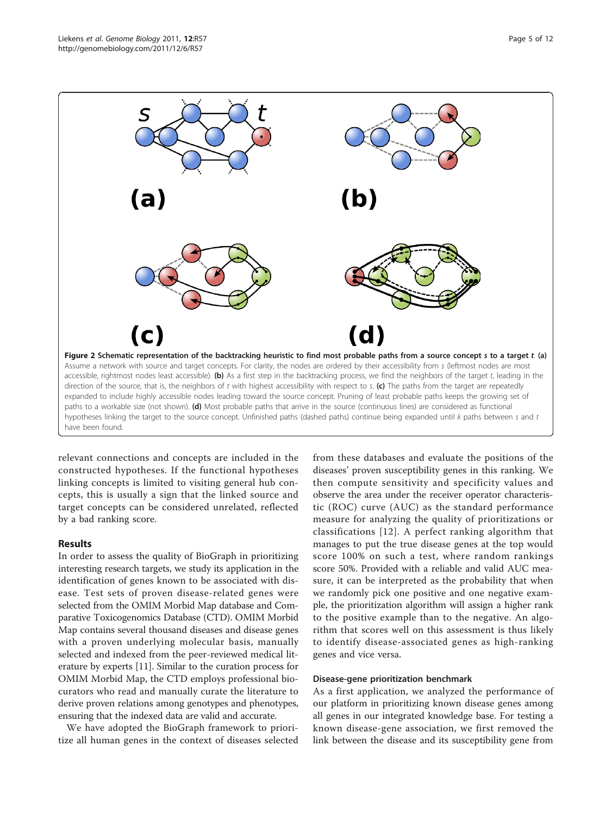<span id="page-4-0"></span>

relevant connections and concepts are included in the constructed hypotheses. If the functional hypotheses linking concepts is limited to visiting general hub concepts, this is usually a sign that the linked source and target concepts can be considered unrelated, reflected by a bad ranking score.

## Results

In order to assess the quality of BioGraph in prioritizing interesting research targets, we study its application in the identification of genes known to be associated with disease. Test sets of proven disease-related genes were selected from the OMIM Morbid Map database and Comparative Toxicogenomics Database (CTD). OMIM Morbid Map contains several thousand diseases and disease genes with a proven underlying molecular basis, manually selected and indexed from the peer-reviewed medical literature by experts [[11\]](#page-10-0). Similar to the curation process for OMIM Morbid Map, the CTD employs professional biocurators who read and manually curate the literature to derive proven relations among genotypes and phenotypes, ensuring that the indexed data are valid and accurate.

We have adopted the BioGraph framework to prioritize all human genes in the context of diseases selected from these databases and evaluate the positions of the diseases' proven susceptibility genes in this ranking. We then compute sensitivity and specificity values and observe the area under the receiver operator characteristic (ROC) curve (AUC) as the standard performance measure for analyzing the quality of prioritizations or classifications [[12](#page-10-0)]. A perfect ranking algorithm that manages to put the true disease genes at the top would score 100% on such a test, where random rankings score 50%. Provided with a reliable and valid AUC measure, it can be interpreted as the probability that when we randomly pick one positive and one negative example, the prioritization algorithm will assign a higher rank to the positive example than to the negative. An algorithm that scores well on this assessment is thus likely to identify disease-associated genes as high-ranking genes and vice versa.

## Disease-gene prioritization benchmark

As a first application, we analyzed the performance of our platform in prioritizing known disease genes among all genes in our integrated knowledge base. For testing a known disease-gene association, we first removed the link between the disease and its susceptibility gene from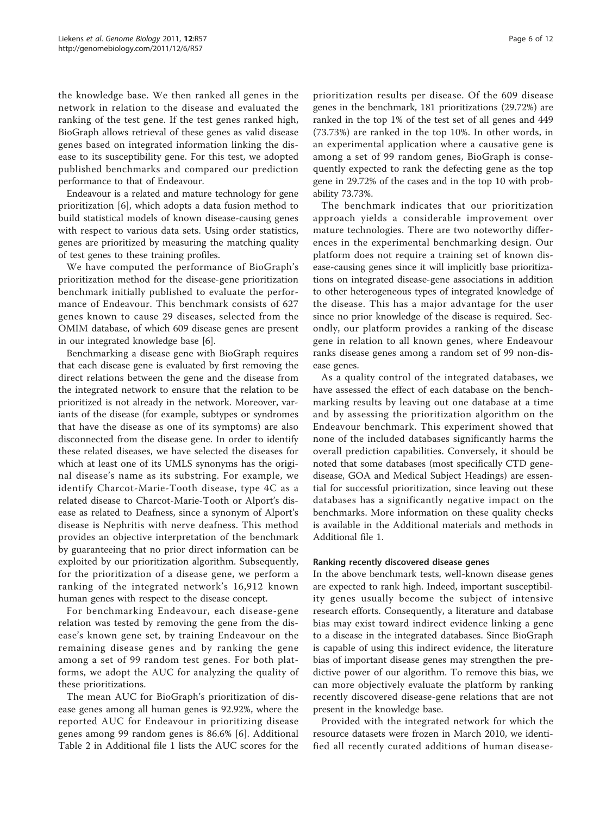the knowledge base. We then ranked all genes in the network in relation to the disease and evaluated the ranking of the test gene. If the test genes ranked high, BioGraph allows retrieval of these genes as valid disease genes based on integrated information linking the disease to its susceptibility gene. For this test, we adopted published benchmarks and compared our prediction performance to that of Endeavour.

Endeavour is a related and mature technology for gene prioritization [[6\]](#page-10-0), which adopts a data fusion method to build statistical models of known disease-causing genes with respect to various data sets. Using order statistics, genes are prioritized by measuring the matching quality of test genes to these training profiles.

We have computed the performance of BioGraph's prioritization method for the disease-gene prioritization benchmark initially published to evaluate the performance of Endeavour. This benchmark consists of 627 genes known to cause 29 diseases, selected from the OMIM database, of which 609 disease genes are present in our integrated knowledge base [[6\]](#page-10-0).

Benchmarking a disease gene with BioGraph requires that each disease gene is evaluated by first removing the direct relations between the gene and the disease from the integrated network to ensure that the relation to be prioritized is not already in the network. Moreover, variants of the disease (for example, subtypes or syndromes that have the disease as one of its symptoms) are also disconnected from the disease gene. In order to identify these related diseases, we have selected the diseases for which at least one of its UMLS synonyms has the original disease's name as its substring. For example, we identify Charcot-Marie-Tooth disease, type 4C as a related disease to Charcot-Marie-Tooth or Alport's disease as related to Deafness, since a synonym of Alport's disease is Nephritis with nerve deafness. This method provides an objective interpretation of the benchmark by guaranteeing that no prior direct information can be exploited by our prioritization algorithm. Subsequently, for the prioritization of a disease gene, we perform a ranking of the integrated network's 16,912 known human genes with respect to the disease concept.

For benchmarking Endeavour, each disease-gene relation was tested by removing the gene from the disease's known gene set, by training Endeavour on the remaining disease genes and by ranking the gene among a set of 99 random test genes. For both platforms, we adopt the AUC for analyzing the quality of these prioritizations.

The mean AUC for BioGraph's prioritization of disease genes among all human genes is 92.92%, where the reported AUC for Endeavour in prioritizing disease genes among 99 random genes is 86.6% [\[6](#page-10-0)]. Additional Table [2](#page-6-0) in Additional file [1](#page-10-0) lists the AUC scores for the

prioritization results per disease. Of the 609 disease genes in the benchmark, 181 prioritizations (29.72%) are ranked in the top 1% of the test set of all genes and 449 (73.73%) are ranked in the top 10%. In other words, in an experimental application where a causative gene is among a set of 99 random genes, BioGraph is consequently expected to rank the defecting gene as the top gene in 29.72% of the cases and in the top 10 with prob-

ability 73.73%.

The benchmark indicates that our prioritization approach yields a considerable improvement over mature technologies. There are two noteworthy differences in the experimental benchmarking design. Our platform does not require a training set of known disease-causing genes since it will implicitly base prioritizations on integrated disease-gene associations in addition to other heterogeneous types of integrated knowledge of the disease. This has a major advantage for the user since no prior knowledge of the disease is required. Secondly, our platform provides a ranking of the disease gene in relation to all known genes, where Endeavour ranks disease genes among a random set of 99 non-disease genes.

As a quality control of the integrated databases, we have assessed the effect of each database on the benchmarking results by leaving out one database at a time and by assessing the prioritization algorithm on the Endeavour benchmark. This experiment showed that none of the included databases significantly harms the overall prediction capabilities. Conversely, it should be noted that some databases (most specifically CTD genedisease, GOA and Medical Subject Headings) are essential for successful prioritization, since leaving out these databases has a significantly negative impact on the benchmarks. More information on these quality checks is available in the Additional materials and methods in Additional file [1](#page-10-0).

## Ranking recently discovered disease genes

In the above benchmark tests, well-known disease genes are expected to rank high. Indeed, important susceptibility genes usually become the subject of intensive research efforts. Consequently, a literature and database bias may exist toward indirect evidence linking a gene to a disease in the integrated databases. Since BioGraph is capable of using this indirect evidence, the literature bias of important disease genes may strengthen the predictive power of our algorithm. To remove this bias, we can more objectively evaluate the platform by ranking recently discovered disease-gene relations that are not present in the knowledge base.

Provided with the integrated network for which the resource datasets were frozen in March 2010, we identified all recently curated additions of human disease-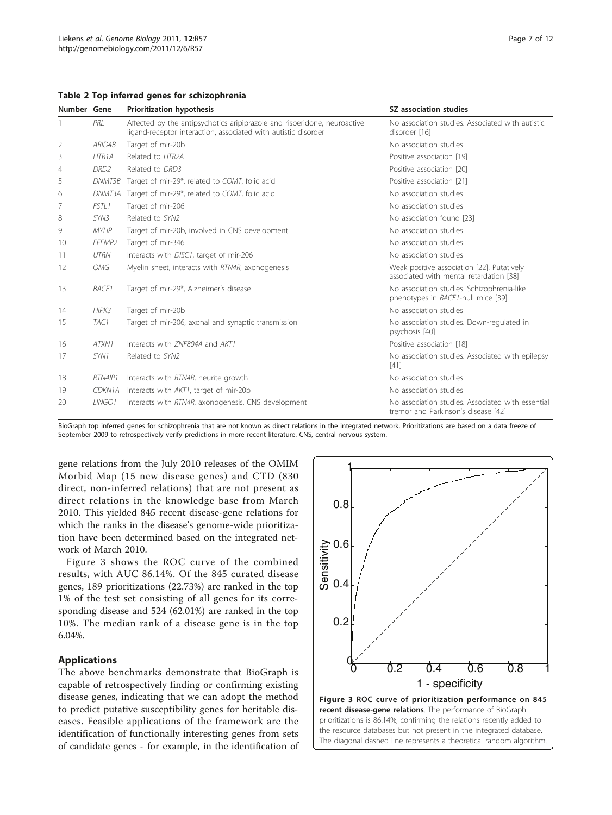<span id="page-6-0"></span>Table 2 Top inferred genes for schizophrenia

| Number Gene    |                    | <b>Prioritization hypothesis</b>                                                                                                           | SZ association studies                                                                   |
|----------------|--------------------|--------------------------------------------------------------------------------------------------------------------------------------------|------------------------------------------------------------------------------------------|
|                | PRL                | Affected by the antipsychotics aripiprazole and risperidone, neuroactive<br>ligand-receptor interaction, associated with autistic disorder | No association studies. Associated with autistic<br>disorder [16]                        |
| 2              | ARID4B             | Target of mir-20b                                                                                                                          | No association studies                                                                   |
| 3              | HTR <sub>1</sub> A | Related to HTR2A                                                                                                                           | Positive association [19]                                                                |
| $\overline{4}$ | DRD <sub>2</sub>   | Related to DRD3                                                                                                                            | Positive association [20]                                                                |
| 5              | DNMT3B             | Target of mir-29*, related to COMT, folic acid                                                                                             | Positive association [21]                                                                |
| 6              | DNMT3A             | Target of mir-29*, related to COMT, folic acid                                                                                             | No association studies                                                                   |
| 7              | FSTL1              | Target of mir-206                                                                                                                          | No association studies                                                                   |
| 8              | SYN3               | Related to SYN2                                                                                                                            | No association found [23]                                                                |
| 9              | MYI IP             | Target of mir-20b, involved in CNS development                                                                                             | No association studies                                                                   |
| 10             | EFEMP2             | Target of mir-346                                                                                                                          | No association studies                                                                   |
| 11             | <b>UTRN</b>        | Interacts with DISC1, target of mir-206                                                                                                    | No association studies                                                                   |
| 12             | <b>OMG</b>         | Myelin sheet, interacts with RTN4R, axonogenesis                                                                                           | Weak positive association [22]. Putatively<br>associated with mental retardation [38]    |
| 13             | <b>BACE1</b>       | Target of mir-29*, Alzheimer's disease                                                                                                     | No association studies. Schizophrenia-like<br>phenotypes in BACE1-null mice [39]         |
| 14             | HIPK3              | Target of mir-20b                                                                                                                          | No association studies                                                                   |
| 15             | TAC1               | Target of mir-206, axonal and synaptic transmission                                                                                        | No association studies. Down-regulated in<br>psychosis [40]                              |
| 16             | ATXN1              | Interacts with 7NF804A and AKT1                                                                                                            | Positive association [18]                                                                |
| 17             | SYN1               | Related to SYN2                                                                                                                            | No association studies. Associated with epilepsy<br>$[41]$                               |
| 18             | RTN4IP1            | Interacts with RTN4R, neurite growth                                                                                                       | No association studies                                                                   |
| 19             | CDKN1A             | Interacts with AKT1, target of mir-20b                                                                                                     | No association studies                                                                   |
| 20             | LINGO1             | Interacts with RTN4R, axonogenesis, CNS development                                                                                        | No association studies. Associated with essential<br>tremor and Parkinson's disease [42] |

BioGraph top inferred genes for schizophrenia that are not known as direct relations in the integrated network. Prioritizations are based on a data freeze of September 2009 to retrospectively verify predictions in more recent literature. CNS, central nervous system.

gene relations from the July 2010 releases of the OMIM Morbid Map (15 new disease genes) and CTD (830 direct, non-inferred relations) that are not present as direct relations in the knowledge base from March 2010. This yielded 845 recent disease-gene relations for which the ranks in the disease's genome-wide prioritization have been determined based on the integrated network of March 2010.

Figure 3 shows the ROC curve of the combined results, with AUC 86.14%. Of the 845 curated disease genes, 189 prioritizations (22.73%) are ranked in the top 1% of the test set consisting of all genes for its corresponding disease and 524 (62.01%) are ranked in the top 10%. The median rank of a disease gene is in the top 6.04%.

## Applications

The above benchmarks demonstrate that BioGraph is capable of retrospectively finding or confirming existing disease genes, indicating that we can adopt the method to predict putative susceptibility genes for heritable diseases. Feasible applications of the framework are the identification of functionally interesting genes from sets of candidate genes - for example, in the identification of

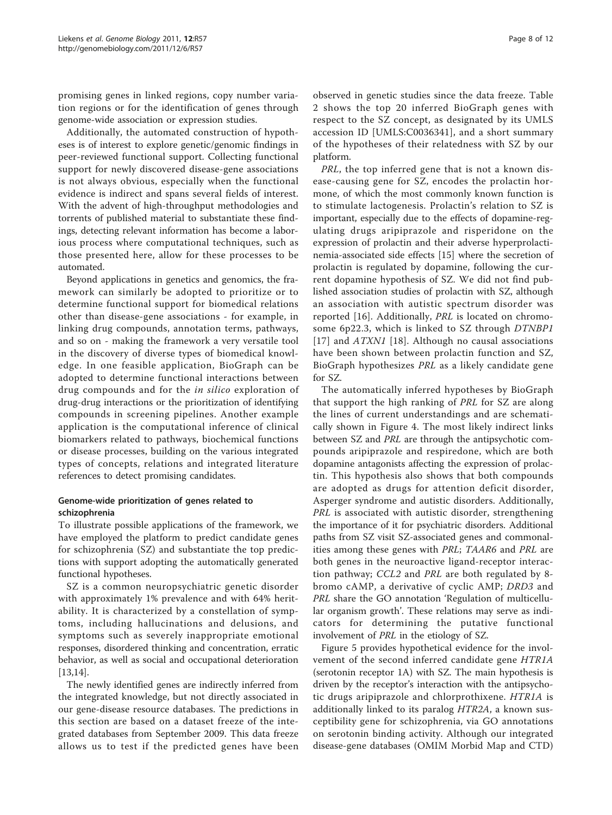promising genes in linked regions, copy number variation regions or for the identification of genes through genome-wide association or expression studies.

Additionally, the automated construction of hypotheses is of interest to explore genetic/genomic findings in peer-reviewed functional support. Collecting functional support for newly discovered disease-gene associations is not always obvious, especially when the functional evidence is indirect and spans several fields of interest. With the advent of high-throughput methodologies and torrents of published material to substantiate these findings, detecting relevant information has become a laborious process where computational techniques, such as those presented here, allow for these processes to be automated.

Beyond applications in genetics and genomics, the framework can similarly be adopted to prioritize or to determine functional support for biomedical relations other than disease-gene associations - for example, in linking drug compounds, annotation terms, pathways, and so on - making the framework a very versatile tool in the discovery of diverse types of biomedical knowledge. In one feasible application, BioGraph can be adopted to determine functional interactions between drug compounds and for the in silico exploration of drug-drug interactions or the prioritization of identifying compounds in screening pipelines. Another example application is the computational inference of clinical biomarkers related to pathways, biochemical functions or disease processes, building on the various integrated types of concepts, relations and integrated literature references to detect promising candidates.

## Genome-wide prioritization of genes related to schizophrenia

To illustrate possible applications of the framework, we have employed the platform to predict candidate genes for schizophrenia (SZ) and substantiate the top predictions with support adopting the automatically generated functional hypotheses.

SZ is a common neuropsychiatric genetic disorder with approximately 1% prevalence and with 64% heritability. It is characterized by a constellation of symptoms, including hallucinations and delusions, and symptoms such as severely inappropriate emotional responses, disordered thinking and concentration, erratic behavior, as well as social and occupational deterioration [[13,14\]](#page-10-0).

The newly identified genes are indirectly inferred from the integrated knowledge, but not directly associated in our gene-disease resource databases. The predictions in this section are based on a dataset freeze of the integrated databases from September 2009. This data freeze allows us to test if the predicted genes have been

observed in genetic studies since the data freeze. Table [2](#page-6-0) shows the top 20 inferred BioGraph genes with respect to the SZ concept, as designated by its UMLS accession ID [UMLS:C0036341], and a short summary

of the hypotheses of their relatedness with SZ by our

platform. PRL, the top inferred gene that is not a known disease-causing gene for SZ, encodes the prolactin hormone, of which the most commonly known function is to stimulate lactogenesis. Prolactin's relation to SZ is important, especially due to the effects of dopamine-regulating drugs aripiprazole and risperidone on the expression of prolactin and their adverse hyperprolactinemia-associated side effects [[15\]](#page-10-0) where the secretion of prolactin is regulated by dopamine, following the current dopamine hypothesis of SZ. We did not find published association studies of prolactin with SZ, although an association with autistic spectrum disorder was reported [\[16\]](#page-10-0). Additionally, PRL is located on chromosome 6p22.3, which is linked to SZ through DTNBP1 [[17](#page-10-0)] and ATXN1 [[18\]](#page-10-0). Although no causal associations have been shown between prolactin function and SZ, BioGraph hypothesizes PRL as a likely candidate gene for SZ.

The automatically inferred hypotheses by BioGraph that support the high ranking of PRL for SZ are along the lines of current understandings and are schematically shown in Figure [4.](#page-8-0) The most likely indirect links between SZ and PRL are through the antipsychotic compounds aripiprazole and respiredone, which are both dopamine antagonists affecting the expression of prolactin. This hypothesis also shows that both compounds are adopted as drugs for attention deficit disorder, Asperger syndrome and autistic disorders. Additionally, PRL is associated with autistic disorder, strengthening the importance of it for psychiatric disorders. Additional paths from SZ visit SZ-associated genes and commonalities among these genes with PRL; TAAR6 and PRL are both genes in the neuroactive ligand-receptor interaction pathway; CCL2 and PRL are both regulated by 8 bromo cAMP, a derivative of cyclic AMP; DRD3 and PRL share the GO annotation 'Regulation of multicellular organism growth'. These relations may serve as indicators for determining the putative functional involvement of PRL in the etiology of SZ.

Figure [5](#page-9-0) provides hypothetical evidence for the involvement of the second inferred candidate gene HTR1A (serotonin receptor 1A) with SZ. The main hypothesis is driven by the receptor's interaction with the antipsychotic drugs aripiprazole and chlorprothixene. HTR1A is additionally linked to its paralog HTR2A, a known susceptibility gene for schizophrenia, via GO annotations on serotonin binding activity. Although our integrated disease-gene databases (OMIM Morbid Map and CTD)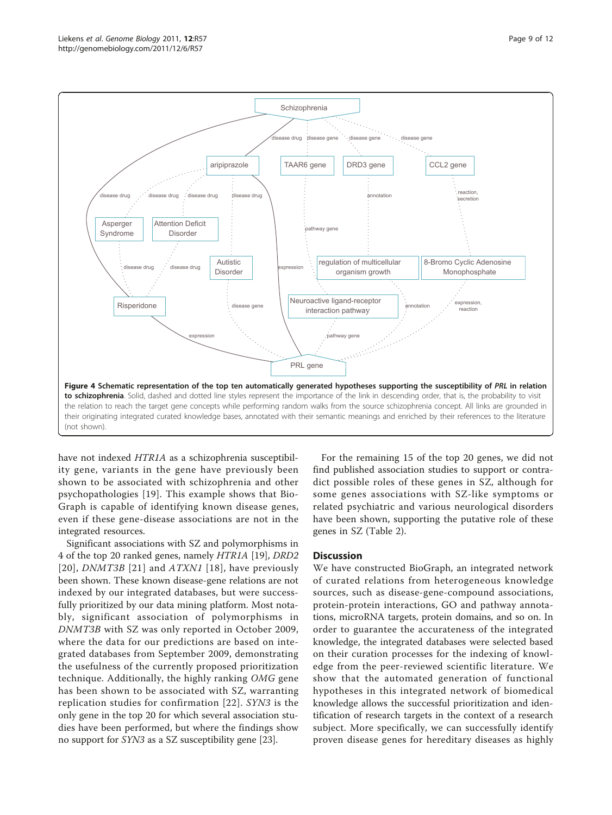<span id="page-8-0"></span>

have not indexed HTR1A as a schizophrenia susceptibility gene, variants in the gene have previously been shown to be associated with schizophrenia and other psychopathologies [[19](#page-10-0)]. This example shows that Bio-Graph is capable of identifying known disease genes, even if these gene-disease associations are not in the integrated resources.

Significant associations with SZ and polymorphisms in 4 of the top 20 ranked genes, namely HTR1A [[19\]](#page-10-0), DRD2 [[20\]](#page-10-0), *DNMT3B* [\[21\]](#page-10-0) and  $ATXNI$  [[18](#page-10-0)], have previously been shown. These known disease-gene relations are not indexed by our integrated databases, but were successfully prioritized by our data mining platform. Most notably, significant association of polymorphisms in DNMT3B with SZ was only reported in October 2009, where the data for our predictions are based on integrated databases from September 2009, demonstrating the usefulness of the currently proposed prioritization technique. Additionally, the highly ranking OMG gene has been shown to be associated with SZ, warranting replication studies for confirmation [[22\]](#page-10-0). SYN3 is the only gene in the top 20 for which several association studies have been performed, but where the findings show no support for SYN3 as a SZ susceptibility gene [\[23](#page-10-0)].

For the remaining 15 of the top 20 genes, we did not find published association studies to support or contradict possible roles of these genes in SZ, although for some genes associations with SZ-like symptoms or related psychiatric and various neurological disorders have been shown, supporting the putative role of these genes in SZ (Table [2](#page-6-0)).

## **Discussion**

We have constructed BioGraph, an integrated network of curated relations from heterogeneous knowledge sources, such as disease-gene-compound associations, protein-protein interactions, GO and pathway annotations, microRNA targets, protein domains, and so on. In order to guarantee the accurateness of the integrated knowledge, the integrated databases were selected based on their curation processes for the indexing of knowledge from the peer-reviewed scientific literature. We show that the automated generation of functional hypotheses in this integrated network of biomedical knowledge allows the successful prioritization and identification of research targets in the context of a research subject. More specifically, we can successfully identify proven disease genes for hereditary diseases as highly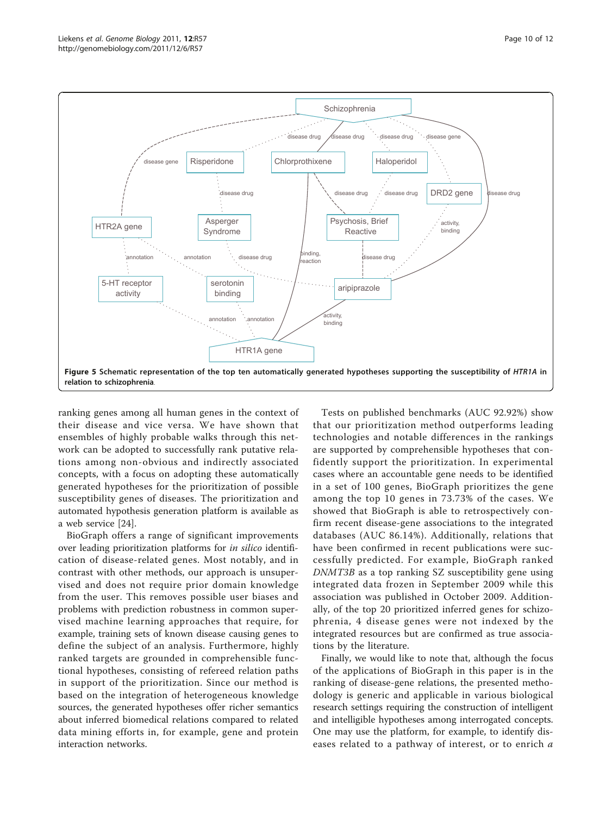<span id="page-9-0"></span>

ranking genes among all human genes in the context of their disease and vice versa. We have shown that ensembles of highly probable walks through this network can be adopted to successfully rank putative relations among non-obvious and indirectly associated concepts, with a focus on adopting these automatically generated hypotheses for the prioritization of possible susceptibility genes of diseases. The prioritization and automated hypothesis generation platform is available as a web service [[24\]](#page-10-0).

BioGraph offers a range of significant improvements over leading prioritization platforms for in silico identification of disease-related genes. Most notably, and in contrast with other methods, our approach is unsupervised and does not require prior domain knowledge from the user. This removes possible user biases and problems with prediction robustness in common supervised machine learning approaches that require, for example, training sets of known disease causing genes to define the subject of an analysis. Furthermore, highly ranked targets are grounded in comprehensible functional hypotheses, consisting of refereed relation paths in support of the prioritization. Since our method is based on the integration of heterogeneous knowledge sources, the generated hypotheses offer richer semantics about inferred biomedical relations compared to related data mining efforts in, for example, gene and protein interaction networks.

Tests on published benchmarks (AUC 92.92%) show that our prioritization method outperforms leading technologies and notable differences in the rankings are supported by comprehensible hypotheses that confidently support the prioritization. In experimental cases where an accountable gene needs to be identified in a set of 100 genes, BioGraph prioritizes the gene among the top 10 genes in 73.73% of the cases. We showed that BioGraph is able to retrospectively confirm recent disease-gene associations to the integrated databases (AUC 86.14%). Additionally, relations that have been confirmed in recent publications were successfully predicted. For example, BioGraph ranked DNMT3B as a top ranking SZ susceptibility gene using integrated data frozen in September 2009 while this association was published in October 2009. Additionally, of the top 20 prioritized inferred genes for schizophrenia, 4 disease genes were not indexed by the integrated resources but are confirmed as true associations by the literature.

Finally, we would like to note that, although the focus of the applications of BioGraph in this paper is in the ranking of disease-gene relations, the presented methodology is generic and applicable in various biological research settings requiring the construction of intelligent and intelligible hypotheses among interrogated concepts. One may use the platform, for example, to identify diseases related to a pathway of interest, or to enrich a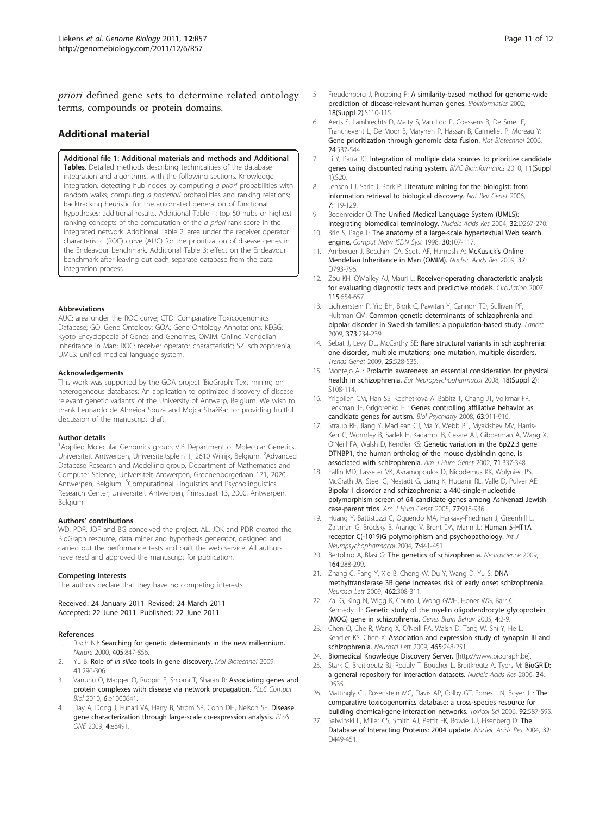<span id="page-10-0"></span>priori defined gene sets to determine related ontology terms, compounds or protein domains.

## Additional material

[Additional file 1: A](http://www.biomedcentral.com/content/supplementary/gb-2011-12-6-r57-S1.DOC)dditional materials and methods and Additional

Tables. Detailed methods describing technicalities of the database integration and algorithms, with the following sections. Knowledge integration: detecting hub nodes by computing a priori probabilities with random walks; computing a posteriori probabilities and ranking relations; backtracking heuristic for the automated generation of functional hypotheses; additional results. Additional Table 1: top 50 hubs or highest ranking concepts of the computation of the *a priori* rank score in the integrated network. Additional Table 2: area under the receiver operator characteristic (ROC) curve (AUC) for the prioritization of disease genes in the Endeavour benchmark. Additional Table 3: effect on the Endeavour benchmark after leaving out each separate database from the data integration process.

#### Abbreviations

AUC: area under the ROC curve; CTD: Comparative Toxicogenomics Database; GO: Gene Ontology; GOA: Gene Ontology Annotations; KEGG: Kyoto Encyclopedia of Genes and Genomes; OMIM: Online Mendelian Inheritance in Man; ROC: receiver operator characteristic; SZ: schizophrenia; UMLS: unified medical language system.

#### Acknowledgements

This work was supported by the GOA project 'BioGraph: Text mining on heterogeneous databases: An application to optimized discovery of disease relevant genetic variants' of the University of Antwerp, Belgium. We wish to thank Leonardo de Almeida Souza and Mojca Stražišar for providing fruitful discussion of the manuscript draft.

#### Author details

<sup>1</sup>Applied Molecular Genomics group, VIB Department of Molecular Genetics, Universiteit Antwerpen, Universiteitsplein 1, 2610 Wilrijk, Belgium. <sup>2</sup>Advanced Database Research and Modelling group, Department of Mathematics and Computer Science, Universiteit Antwerpen, Groenenborgerlaan 171, 2020 Antwerpen, Belgium. <sup>3</sup>Computational Linguistics and Psycholinguistics Research Center, Universiteit Antwerpen, Prinsstraat 13, 2000, Antwerpen, Belgium.

#### Authors' contributions

WD, PDR, JDF and BG conceived the project. AL, JDK and PDR created the BioGraph resource, data miner and hypothesis generator, designed and carried out the performance tests and built the web service. All authors have read and approved the manuscript for publication.

#### Competing interests

The authors declare that they have no competing interests.

Received: 24 January 2011 Revised: 24 March 2011 Accepted: 22 June 2011 Published: 22 June 2011

#### References

- 1. Risch NJ: [Searching for genetic determinants in the new millennium.](http://www.ncbi.nlm.nih.gov/pubmed/10866211?dopt=Abstract) Nature 2000, 405:847-856.
- Yu B: Role of in silico [tools in gene discovery.](http://www.ncbi.nlm.nih.gov/pubmed/19101827?dopt=Abstract) Mol Biotechnol 2009, 41:296-306.
- 3. Vanunu O, Magger O, Ruppin E, Shlomi T, Sharan R: [Associating genes and](http://www.ncbi.nlm.nih.gov/pubmed/20090828?dopt=Abstract) [protein complexes with disease via network propagation.](http://www.ncbi.nlm.nih.gov/pubmed/20090828?dopt=Abstract) PLoS Comput Biol 2010, 6:e1000641.
- 4. Day A, Dong J, Funari VA, Harry B, Strom SP, Cohn DH, Nelson SF: [Disease](http://www.ncbi.nlm.nih.gov/pubmed/20046828?dopt=Abstract) [gene characterization through large-scale co-expression analysis.](http://www.ncbi.nlm.nih.gov/pubmed/20046828?dopt=Abstract) PLoS ONE 2009, 4:e8491.
- 5. Freudenberg J, Propping P: [A similarity-based method for genome-wide](http://www.ncbi.nlm.nih.gov/pubmed/12385992?dopt=Abstract) [prediction of disease-relevant human genes.](http://www.ncbi.nlm.nih.gov/pubmed/12385992?dopt=Abstract) Bioinformatics 2002, 18(Suppl 2):S110-115.
- 6. Aerts S, Lambrechts D, Maity S, Van Loo P, Coessens B, De Smet F, Tranchevent L, De Moor B, Marynen P, Hassan B, Carmeliet P, Moreau Y: [Gene prioritization through genomic data fusion.](http://www.ncbi.nlm.nih.gov/pubmed/16680138?dopt=Abstract) Nat Biotechnol 2006, 24:537-544.
- 7. Li Y, Patra JC: [Integration of multiple data sources to prioritize candidate](http://www.ncbi.nlm.nih.gov/pubmed/20946604?dopt=Abstract) [genes using discounted rating system.](http://www.ncbi.nlm.nih.gov/pubmed/20946604?dopt=Abstract) BMC Bioinformatics 2010, 11(Suppl 1):S20.
- 8. Jensen LJ, Saric J, Bork P: [Literature mining for the biologist: from](http://www.ncbi.nlm.nih.gov/pubmed/16418747?dopt=Abstract) [information retrieval to biological discovery.](http://www.ncbi.nlm.nih.gov/pubmed/16418747?dopt=Abstract) Nat Rev Genet 2006, 7:119-129.
- 9. Bodenreider O: [The Unified Medical Language System \(UMLS\):](http://www.ncbi.nlm.nih.gov/pubmed/14681409?dopt=Abstract) [integrating biomedical terminology.](http://www.ncbi.nlm.nih.gov/pubmed/14681409?dopt=Abstract) Nucleic Acids Res 2004, 32:D267-270.
- 10. Brin S, Page L: The anatomy of a large-scale hypertextual Web search engine. Comput Netw ISDN Syst 1998, 30:107-117.
- 11. Amberger J, Bocchini CA, Scott AF, Hamosh A: [McKusick](http://www.ncbi.nlm.nih.gov/pubmed/18842627?dopt=Abstract)'s Online [Mendelian Inheritance in Man \(OMIM\).](http://www.ncbi.nlm.nih.gov/pubmed/18842627?dopt=Abstract) Nucleic Acids Res 2009, 37: D793-796.
- 12. Zou KH, O'Malley AJ, Mauri L: [Receiver-operating characteristic analysis](http://www.ncbi.nlm.nih.gov/pubmed/17283280?dopt=Abstract) [for evaluating diagnostic tests and predictive models.](http://www.ncbi.nlm.nih.gov/pubmed/17283280?dopt=Abstract) Circulation 2007, 115:654-657.
- 13. Lichtenstein P, Yip BH, Björk C, Pawitan Y, Cannon TD, Sullivan PF, Hultman CM: [Common genetic determinants of schizophrenia and](http://www.ncbi.nlm.nih.gov/pubmed/19150704?dopt=Abstract) [bipolar disorder in Swedish families: a population-based study.](http://www.ncbi.nlm.nih.gov/pubmed/19150704?dopt=Abstract) Lancet 2009, 373:234-239.
- 14. Sebat J, Levy DL, McCarthy SE: [Rare structural variants in schizophrenia:](http://www.ncbi.nlm.nih.gov/pubmed/19883952?dopt=Abstract) one [disorder, multiple mutations; one mutation, multiple disorders.](http://www.ncbi.nlm.nih.gov/pubmed/19883952?dopt=Abstract) Trends Genet 2009, 25:528-535.
- 15. Montejo AL: [Prolactin awareness: an essential consideration for physical](http://www.ncbi.nlm.nih.gov/pubmed/18346598?dopt=Abstract) [health in schizophrenia.](http://www.ncbi.nlm.nih.gov/pubmed/18346598?dopt=Abstract) Eur Neuropsychopharmacol 2008, 18(Suppl 2): S108-114.
- 16. Yrigollen CM, Han SS, Kochetkova A, Babitz T, Chang JT, Volkmar FR, Leckman JF, Grigorenko EL: [Genes controlling affiliative behavior as](http://www.ncbi.nlm.nih.gov/pubmed/18207134?dopt=Abstract) [candidate genes for autism.](http://www.ncbi.nlm.nih.gov/pubmed/18207134?dopt=Abstract) Biol Psychiatry 2008, 63:911-916.
- 17. Straub RE, Jiang Y, MacLean CJ, Ma Y, Webb BT, Myakishev MV, Harris-Kerr C, Wormley B, Sadek H, Kadambi B, Cesare AJ, Gibberman A, Wang X, O'Neill FA, Walsh D, Kendler KS: [Genetic variation in the 6p22.3 gene](http://www.ncbi.nlm.nih.gov/pubmed/12098102?dopt=Abstract) [DTNBP1, the human ortholog of the mouse dysbindin gene, is](http://www.ncbi.nlm.nih.gov/pubmed/12098102?dopt=Abstract) [associated with schizophrenia.](http://www.ncbi.nlm.nih.gov/pubmed/12098102?dopt=Abstract) Am J Hum Genet 2002, 71:337-348.
- 18. Fallin MD, Lasseter VK, Avramopoulos D, Nicodemus KK, Wolyniec PS, McGrath JA, Steel G, Nestadt G, Liang K, Huganir RL, Valle D, Pulver AE: [Bipolar I disorder and schizophrenia: a 440-single-nucleotide](http://www.ncbi.nlm.nih.gov/pubmed/16380905?dopt=Abstract) [polymorphism screen of 64 candidate genes among Ashkenazi Jewish](http://www.ncbi.nlm.nih.gov/pubmed/16380905?dopt=Abstract) [case-parent trios.](http://www.ncbi.nlm.nih.gov/pubmed/16380905?dopt=Abstract) Am J Hum Genet 2005, 77:918-936.
- 19. Huang Y, Battistuzzi C, Oquendo MA, Harkavy-Friedman J, Greenhill L, Zalsman G, Brodsky B, Arango V, Brent DA, Mann JJ: [Human 5-HT1A](http://www.ncbi.nlm.nih.gov/pubmed/15469667?dopt=Abstract) [receptor C\(-1019\)G polymorphism and psychopathology.](http://www.ncbi.nlm.nih.gov/pubmed/15469667?dopt=Abstract) Int J Neuropsychopharmacol 2004, 7:441-451.
- 20. Bertolino A, Blasi G: [The genetics of schizophrenia.](http://www.ncbi.nlm.nih.gov/pubmed/19393294?dopt=Abstract) Neuroscience 2009, 164:288-299.
- 21. Zhang C, Fang Y, Xie B, Cheng W, Du Y, Wang D, Yu S: [DNA](http://www.ncbi.nlm.nih.gov/pubmed/19576953?dopt=Abstract) [methyltransferase 3B gene increases risk of early onset schizophrenia.](http://www.ncbi.nlm.nih.gov/pubmed/19576953?dopt=Abstract) Neurosci Lett 2009, 462:308-311.
- 22. Zai G, King N, Wigg K, Couto J, Wong GWH, Honer WG, Barr CL, Kennedy JL: [Genetic study of the myelin oligodendrocyte glycoprotein](http://www.ncbi.nlm.nih.gov/pubmed/15660663?dopt=Abstract) [\(MOG\) gene in schizophrenia.](http://www.ncbi.nlm.nih.gov/pubmed/15660663?dopt=Abstract) Genes Brain Behav 2005, 4:2-9.
- 23. Chen Q, Che R, Wang X, O'Neill FA, Walsh D, Tang W, Shi Y, He L, Kendler KS, Chen X: [Association and expression study of synapsin III and](http://www.ncbi.nlm.nih.gov/pubmed/19766700?dopt=Abstract) [schizophrenia.](http://www.ncbi.nlm.nih.gov/pubmed/19766700?dopt=Abstract) Neurosci Lett 2009, 465:248-251.
- 24. Biomedical Knowledge Discovery Server. [<http://www.biograph.be>].
- 25. Stark C, Breitkreutz BJ, Reguly T, Boucher L, Breitkreutz A, Tyers M: [BioGRID:](http://www.ncbi.nlm.nih.gov/pubmed/16381927?dopt=Abstract) [a general repository for interaction datasets.](http://www.ncbi.nlm.nih.gov/pubmed/16381927?dopt=Abstract) Nucleic Acids Res 2006, 34: D535.
- 26. Mattingly CJ, Rosenstein MC, Davis AP, Colby GT, Forrest JN, Boyer JL: [The](http://www.ncbi.nlm.nih.gov/pubmed/16675512?dopt=Abstract) [comparative toxicogenomics database: a cross-species resource for](http://www.ncbi.nlm.nih.gov/pubmed/16675512?dopt=Abstract) [building chemical-gene interaction networks.](http://www.ncbi.nlm.nih.gov/pubmed/16675512?dopt=Abstract) Toxicol Sci 2006, 92:587-595.
- 27. Salwinski L, Miller CS, Smith AJ, Pettit FK, Bowie JU, Eisenberg D: [The](http://www.ncbi.nlm.nih.gov/pubmed/14681454?dopt=Abstract) [Database of Interacting Proteins: 2004 update.](http://www.ncbi.nlm.nih.gov/pubmed/14681454?dopt=Abstract) Nucleic Acids Res 2004, 32: D449-451.